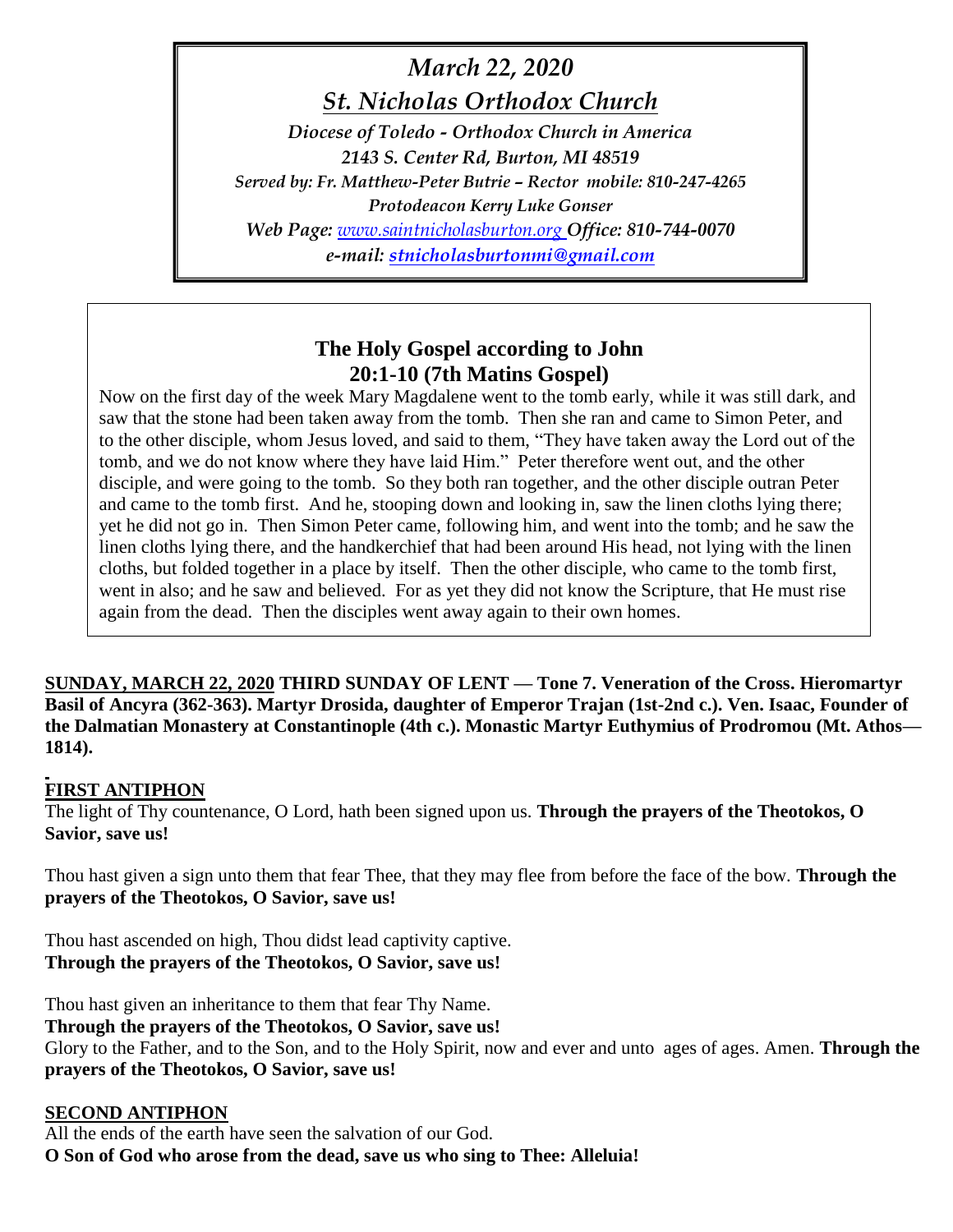# *March 22, 2020*

*St. Nicholas Orthodox Church*

*Diocese of Toledo - Orthodox Church in America 2143 S. Center Rd, Burton, MI 48519 Served by: Fr. Matthew-Peter Butrie – Rector mobile: 810-247-4265 Protodeacon Kerry Luke Gonser Web Page: [www.saintnicholasburton.org](http://www.saintnicholasburton.org/) Office: 810-744-0070 e-mail: [stnicholasburtonmi@gmail.com](mailto:stnicholasburtonmi@gmail.com)*

## **The Holy Gospel according to John 20:1-10 (7th Matins Gospel)**

Now on the first day of the week Mary Magdalene went to the tomb early, while it was still dark, and saw that the stone had been taken away from the tomb. Then she ran and came to Simon Peter, and to the other disciple, whom Jesus loved, and said to them, "They have taken away the Lord out of the tomb, and we do not know where they have laid Him." Peter therefore went out, and the other disciple, and were going to the tomb. So they both ran together, and the other disciple outran Peter and came to the tomb first. And he, stooping down and looking in, saw the linen cloths lying there; yet he did not go in. Then Simon Peter came, following him, and went into the tomb; and he saw the linen cloths lying there, and the handkerchief that had been around His head, not lying with the linen cloths, but folded together in a place by itself. Then the other disciple, who came to the tomb first, went in also; and he saw and believed. For as yet they did not know the Scripture, that He must rise again from the dead. Then the disciples went away again to their own homes.

**SUNDAY, MARCH 22, 2020 THIRD SUNDAY OF LENT — Tone 7. Veneration of the Cross. Hieromartyr Basil of Ancyra (362-363). Martyr Drosida, daughter of Emperor Trajan (1st-2nd c.). Ven. Isaac, Founder of the Dalmatian Monastery at Constantinople (4th c.). Monastic Martyr Euthymius of Prodromou (Mt. Athos— 1814).**

#### **FIRST ANTIPHON**

The light of Thy countenance, O Lord, hath been signed upon us. **Through the prayers of the Theotokos, O Savior, save us!**

Thou hast given a sign unto them that fear Thee, that they may flee from before the face of the bow. **Through the prayers of the Theotokos, O Savior, save us!**

Thou hast ascended on high, Thou didst lead captivity captive. **Through the prayers of the Theotokos, O Savior, save us!**

Thou hast given an inheritance to them that fear Thy Name. **Through the prayers of the Theotokos, O Savior, save us!** Glory to the Father, and to the Son, and to the Holy Spirit, now and ever and unto ages of ages. Amen. **Through the prayers of the Theotokos, O Savior, save us!**

#### **SECOND ANTIPHON**

All the ends of the earth have seen the salvation of our God. **O Son of God who arose from the dead, save us who sing to Thee: Alleluia!**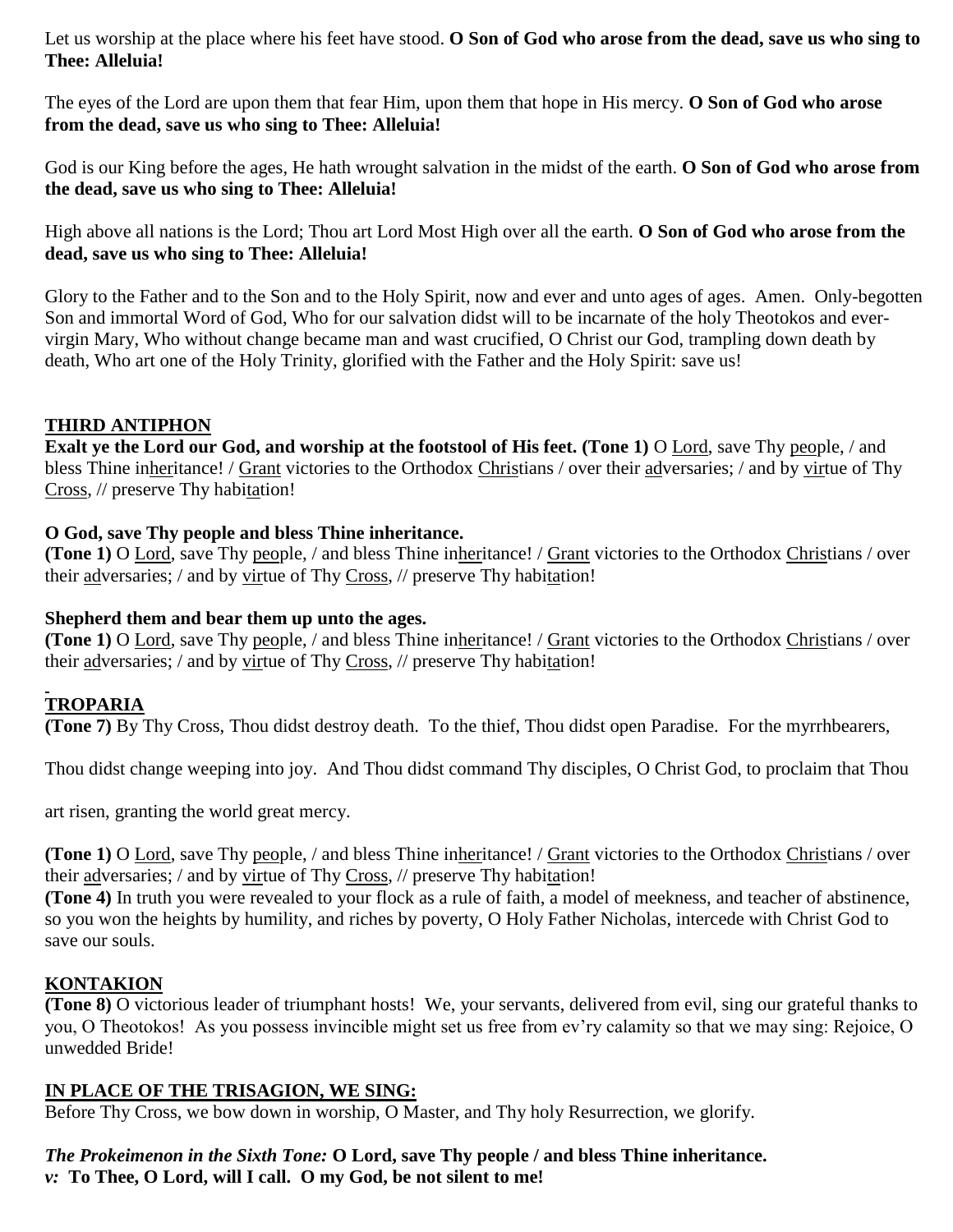Let us worship at the place where his feet have stood. **O Son of God who arose from the dead, save us who sing to Thee: Alleluia!**

The eyes of the Lord are upon them that fear Him, upon them that hope in His mercy. **O Son of God who arose from the dead, save us who sing to Thee: Alleluia!**

God is our King before the ages, He hath wrought salvation in the midst of the earth. **O Son of God who arose from the dead, save us who sing to Thee: Alleluia!**

High above all nations is the Lord; Thou art Lord Most High over all the earth. **O Son of God who arose from the dead, save us who sing to Thee: Alleluia!**

Glory to the Father and to the Son and to the Holy Spirit, now and ever and unto ages of ages. Amen. Only-begotten Son and immortal Word of God, Who for our salvation didst will to be incarnate of the holy Theotokos and evervirgin Mary, Who without change became man and wast crucified, O Christ our God, trampling down death by death, Who art one of the Holy Trinity, glorified with the Father and the Holy Spirit: save us!

#### **THIRD ANTIPHON**

**Exalt ye the Lord our God, and worship at the footstool of His feet. (Tone 1)** O Lord, save Thy people, / and bless Thine inheritance! / Grant victories to the Orthodox Christians / over their adversaries; / and by virtue of Thy Cross, // preserve Thy habitation!

#### **O God, save Thy people and bless Thine inheritance.**

**(Tone 1)** O Lord, save Thy people, / and bless Thine inheritance! / Grant victories to the Orthodox Christians / over their adversaries; / and by virtue of Thy Cross, // preserve Thy habitation!

#### **Shepherd them and bear them up unto the ages.**

**(Tone 1)** O Lord, save Thy people, / and bless Thine inheritance! / Grant victories to the Orthodox Christians / over their adversaries; / and by virtue of Thy Cross, // preserve Thy habitation!

#### **TROPARIA**

**(Tone 7)** By Thy Cross, Thou didst destroy death. To the thief, Thou didst open Paradise. For the myrrhbearers,

Thou didst change weeping into joy. And Thou didst command Thy disciples, O Christ God, to proclaim that Thou

art risen, granting the world great mercy.

**(Tone 1)** O Lord, save Thy people, / and bless Thine inheritance! / Grant victories to the Orthodox Christians / over their adversaries; / and by virtue of Thy Cross, // preserve Thy habitation!

**(Tone 4)** In truth you were revealed to your flock as a rule of faith, a model of meekness, and teacher of abstinence, so you won the heights by humility, and riches by poverty, O Holy Father Nicholas, intercede with Christ God to save our souls.

#### **KONTAKION**

**(Tone 8)** O victorious leader of triumphant hosts! We, your servants, delivered from evil, sing our grateful thanks to you, O Theotokos! As you possess invincible might set us free from ev'ry calamity so that we may sing: Rejoice, O unwedded Bride!

#### **IN PLACE OF THE TRISAGION, WE SING:**

Before Thy Cross, we bow down in worship, O Master, and Thy holy Resurrection, we glorify.

#### *The Prokeimenon in the Sixth Tone:* **O Lord, save Thy people / and bless Thine inheritance.** *v:* **To Thee, O Lord, will I call. O my God, be not silent to me!**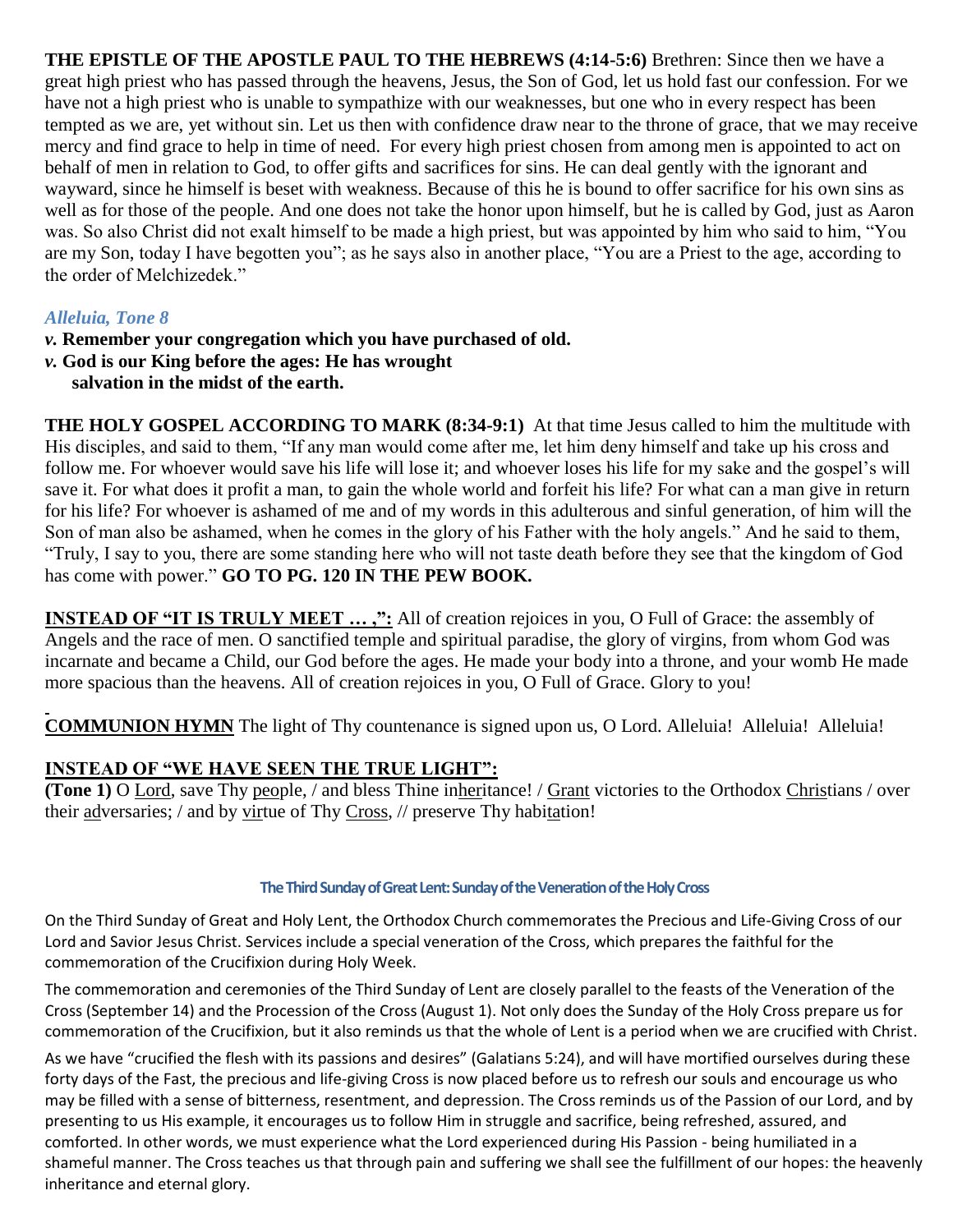**THE EPISTLE OF THE APOSTLE PAUL TO THE HEBREWS (4:14-5:6)** Brethren: Since then we have a great high priest who has passed through the heavens, Jesus, the Son of God, let us hold fast our confession. For we have not a high priest who is unable to sympathize with our weaknesses, but one who in every respect has been tempted as we are, yet without sin. Let us then with confidence draw near to the throne of grace, that we may receive mercy and find grace to help in time of need. For every high priest chosen from among men is appointed to act on behalf of men in relation to God, to offer gifts and sacrifices for sins. He can deal gently with the ignorant and wayward, since he himself is beset with weakness. Because of this he is bound to offer sacrifice for his own sins as well as for those of the people. And one does not take the honor upon himself, but he is called by God, just as Aaron was. So also Christ did not exalt himself to be made a high priest, but was appointed by him who said to him, "You are my Son, today I have begotten you"; as he says also in another place, "You are a Priest to the age, according to the order of Melchizedek."

#### *Alleluia, Tone 8*

- *v.* **Remember your congregation which you have purchased of old.**
- *v.* **God is our King before the ages: He has wrought salvation in the midst of the earth.**

**THE HOLY GOSPEL ACCORDING TO MARK (8:34-9:1)** At that time Jesus called to him the multitude with His disciples, and said to them, "If any man would come after me, let him deny himself and take up his cross and follow me. For whoever would save his life will lose it; and whoever loses his life for my sake and the gospel's will save it. For what does it profit a man, to gain the whole world and forfeit his life? For what can a man give in return for his life? For whoever is ashamed of me and of my words in this adulterous and sinful generation, of him will the Son of man also be ashamed, when he comes in the glory of his Father with the holy angels." And he said to them, "Truly, I say to you, there are some standing here who will not taste death before they see that the kingdom of God has come with power." **GO TO PG. 120 IN THE PEW BOOK.**

**INSTEAD OF "IT IS TRULY MEET ...,":** All of creation rejoices in you, O Full of Grace: the assembly of Angels and the race of men. O sanctified temple and spiritual paradise, the glory of virgins, from whom God was incarnate and became a Child, our God before the ages. He made your body into a throne, and your womb He made more spacious than the heavens. All of creation rejoices in you, O Full of Grace. Glory to you!

**COMMUNION HYMN** The light of Thy countenance is signed upon us, O Lord. Alleluia! Alleluia! Alleluia!

#### **INSTEAD OF "WE HAVE SEEN THE TRUE LIGHT":**

**(Tone 1)** O Lord, save Thy people, / and bless Thine inheritance! / Grant victories to the Orthodox Christians / over their adversaries; / and by virtue of Thy Cross, // preserve Thy habitation!

#### **The Third Sunday of Great Lent: Sunday of the Veneration of the Holy Cross**

On the Third Sunday of Great and Holy Lent, the Orthodox Church commemorates the Precious and Life-Giving Cross of our Lord and Savior Jesus Christ. Services include a special veneration of the Cross, which prepares the faithful for the commemoration of the Crucifixion during Holy Week.

The commemoration and ceremonies of the Third Sunday of Lent are closely parallel to the feasts of the Veneration of the Cross (September 14) and the Procession of the Cross (August 1). Not only does the Sunday of the Holy Cross prepare us for commemoration of the Crucifixion, but it also reminds us that the whole of Lent is a period when we are crucified with Christ.

As we have "crucified the flesh with its passions and desires" (Galatians 5:24), and will have mortified ourselves during these forty days of the Fast, the precious and life-giving Cross is now placed before us to refresh our souls and encourage us who may be filled with a sense of bitterness, resentment, and depression. The Cross reminds us of the Passion of our Lord, and by presenting to us His example, it encourages us to follow Him in struggle and sacrifice, being refreshed, assured, and comforted. In other words, we must experience what the Lord experienced during His Passion - being humiliated in a shameful manner. The Cross teaches us that through pain and suffering we shall see the fulfillment of our hopes: the heavenly inheritance and eternal glory.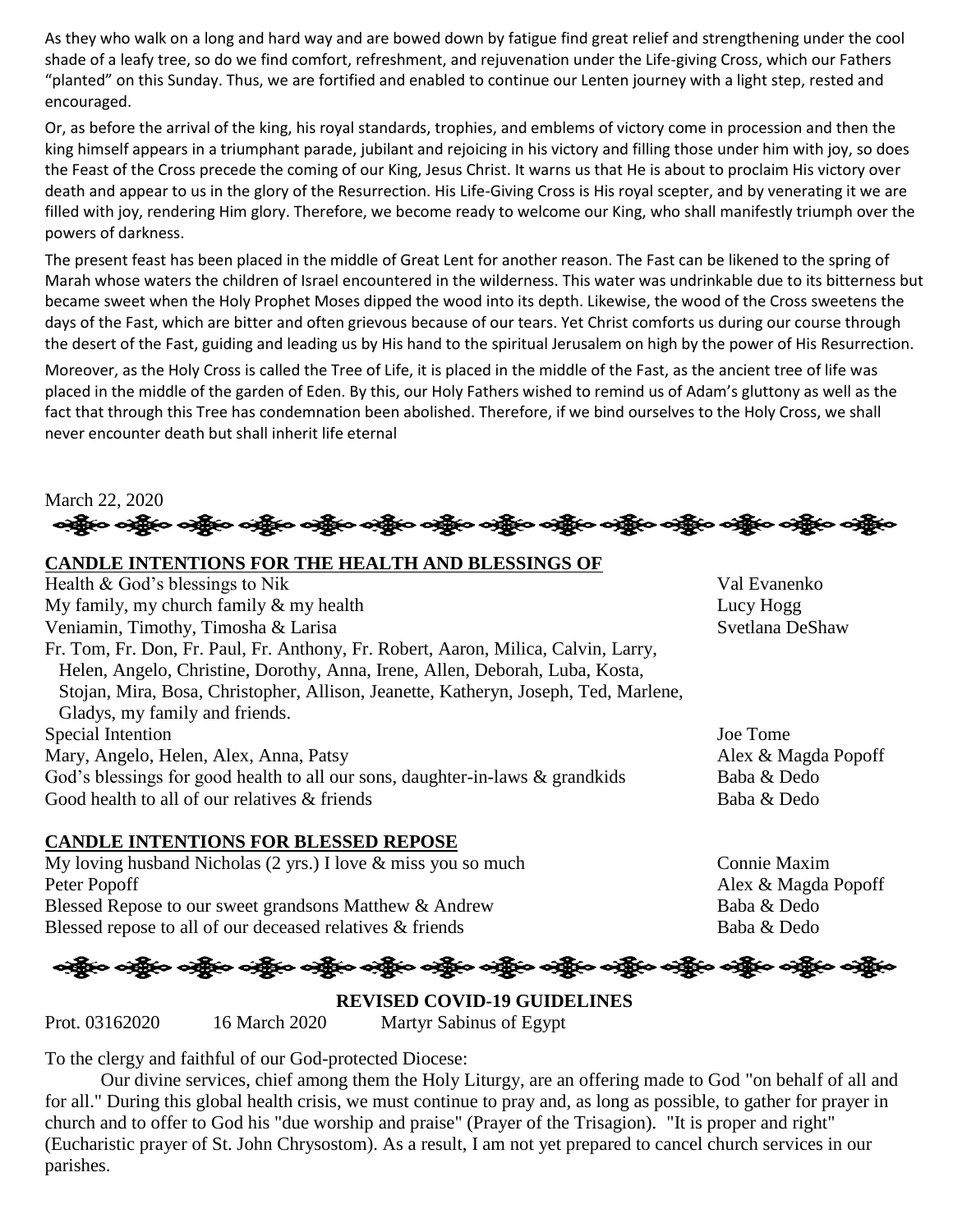As they who walk on a long and hard way and are bowed down by fatigue find great relief and strengthening under the cool shade of a leafy tree, so do we find comfort, refreshment, and rejuvenation under the Life-giving Cross, which our Fathers "planted" on this Sunday. Thus, we are fortified and enabled to continue our Lenten journey with a light step, rested and encouraged.

Or, as before the arrival of the king, his royal standards, trophies, and emblems of victory come in procession and then the king himself appears in a triumphant parade, jubilant and rejoicing in his victory and filling those under him with joy, so does the Feast of the Cross precede the coming of our King, Jesus Christ. It warns us that He is about to proclaim His victory over death and appear to us in the glory of the Resurrection. His Life-Giving Cross is His royal scepter, and by venerating it we are filled with joy, rendering Him glory. Therefore, we become ready to welcome our King, who shall manifestly triumph over the powers of darkness.

The present feast has been placed in the middle of Great Lent for another reason. The Fast can be likened to the spring of Marah whose waters the children of Israel encountered in the wilderness. This water was undrinkable due to its bitterness but became sweet when the Holy Prophet Moses dipped the wood into its depth. Likewise, the wood of the Cross sweetens the days of the Fast, which are bitter and often grievous because of our tears. Yet Christ comforts us during our course through the desert of the Fast, guiding and leading us by His hand to the spiritual Jerusalem on high by the power of His Resurrection.

Moreover, as the Holy Cross is called the Tree of Life, it is placed in the middle of the Fast, as the ancient tree of life was placed in the middle of the garden of Eden. By this, our Holy Fathers wished to remind us of Adam's gluttony as well as the fact that through this Tree has condemnation been abolished. Therefore, if we bind ourselves to the Holy Cross, we shall never encounter death but shall inherit life eternal

March 22, 2020 ခရွို့လ ခရွို့လ ခရွိမ်း တန်းပုံလ သို့ရှိသည့် သည့်လ ခရွိသည့် သည်။ သည်သည့်လ သည် ပြောက်သည့် သည်။

#### **CANDLE INTENTIONS FOR THE HEALTH AND BLESSINGS OF**

Health & God's blessings to Nik Val Evanenko My family, my church family  $\&$  my health Lucy Hogg Veniamin, Timothy, Timosha & Larisa Svetlana DeShaw Fr. Tom, Fr. Don, Fr. Paul, Fr. Anthony, Fr. Robert, Aaron, Milica, Calvin, Larry, Helen, Angelo, Christine, Dorothy, Anna, Irene, Allen, Deborah, Luba, Kosta, Stojan, Mira, Bosa, Christopher, Allison, Jeanette, Katheryn, Joseph, Ted, Marlene, Gladys, my family and friends. Special Intention Joe Tome Mary, Angelo, Helen, Alex, Anna, Patsy Alex & Magda Popoff God's blessings for good health to all our sons, daughter-in-laws & grandkids Baba & Dedo Good health to all of our relatives & friends Baba & Dedo

#### **CANDLE INTENTIONS FOR BLESSED REPOSE**

My loving husband Nicholas (2 yrs.) I love & miss you so much Connie Maxim Peter Popoff **Alex & Magda Popoff** Alex & Magda Popoff Blessed Repose to our sweet grandsons Matthew & Andrew Baba & Dedo Blessed repose to all of our deceased relatives & friends Baba & Dedo

## န္ဒိုင္း မည္သို့ေခါင္ဆိုေခါင္ဆိုေတြကို ေခါင္ဆိုေခါင္ဆိုေခါင္သို့ေခါင္သို့ေတြကြက္ေတြက ခင္ဆိုင္ေခါင္သို့ေခါင္သို

**REVISED COVID-19 GUIDELINES** Prot. 03162020 16 March 2020 Martyr Sabinus of Egypt

To the clergy and faithful of our God-protected Diocese:

Our divine services, chief among them the Holy Liturgy, are an offering made to God "on behalf of all and for all." During this global health crisis, we must continue to pray and, as long as possible, to gather for prayer in church and to offer to God his "due worship and praise" (Prayer of the Trisagion). "It is proper and right" (Eucharistic prayer of St. John Chrysostom). As a result, I am not yet prepared to cancel church services in our parishes.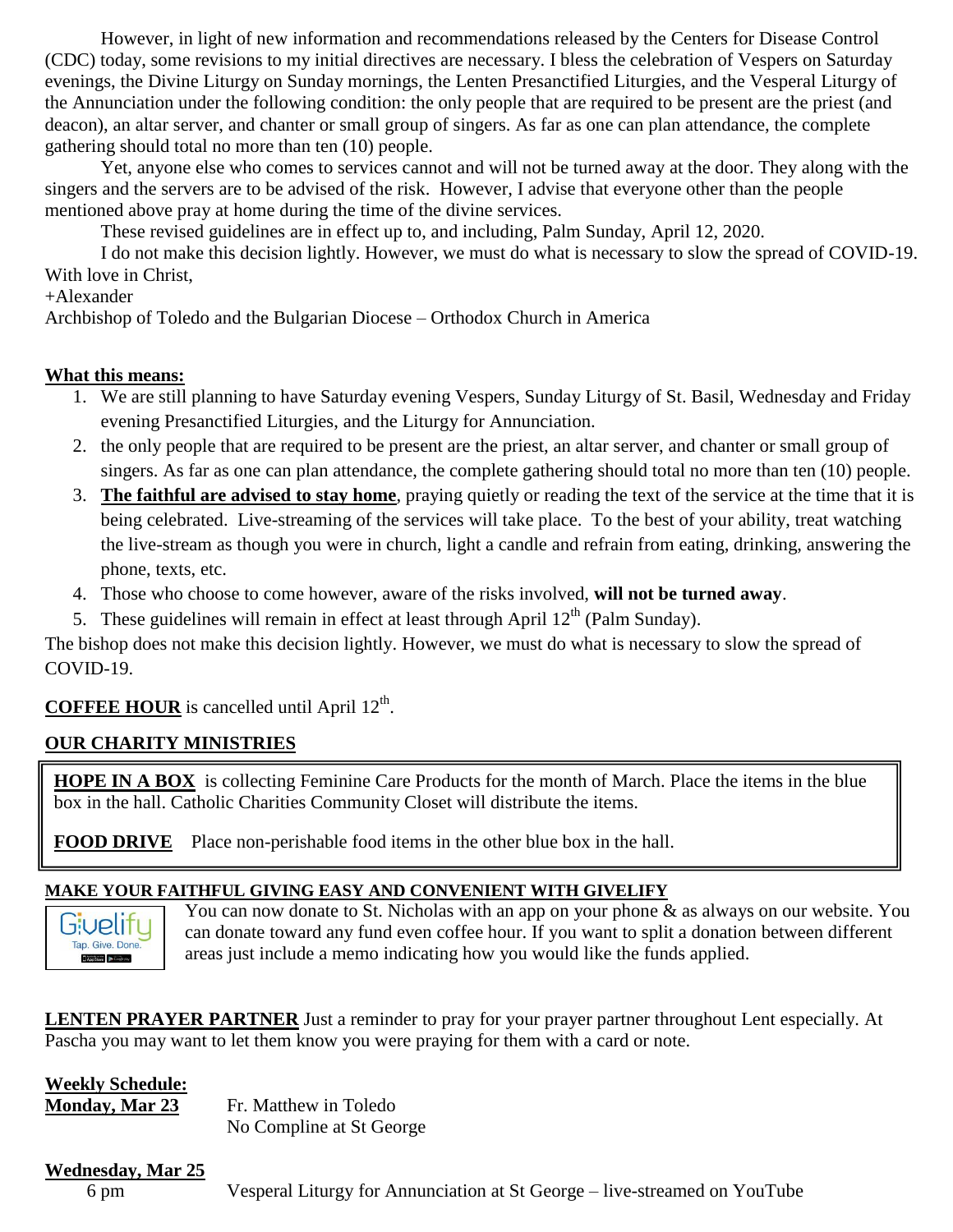However, in light of new information and recommendations released by the Centers for Disease Control (CDC) today, some revisions to my initial directives are necessary. I bless the celebration of Vespers on Saturday evenings, the Divine Liturgy on Sunday mornings, the Lenten Presanctified Liturgies, and the Vesperal Liturgy of the Annunciation under the following condition: the only people that are required to be present are the priest (and deacon), an altar server, and chanter or small group of singers. As far as one can plan attendance, the complete gathering should total no more than ten (10) people.

Yet, anyone else who comes to services cannot and will not be turned away at the door. They along with the singers and the servers are to be advised of the risk. However, I advise that everyone other than the people mentioned above pray at home during the time of the divine services.

These revised guidelines are in effect up to, and including, Palm Sunday, April 12, 2020.

I do not make this decision lightly. However, we must do what is necessary to slow the spread of COVID-19. With love in Christ,

+Alexander

Archbishop of Toledo and the Bulgarian Diocese – Orthodox Church in America

#### **What this means:**

- 1. We are still planning to have Saturday evening Vespers, Sunday Liturgy of St. Basil, Wednesday and Friday evening Presanctified Liturgies, and the Liturgy for Annunciation.
- 2. the only people that are required to be present are the priest, an altar server, and chanter or small group of singers. As far as one can plan attendance, the complete gathering should total no more than ten (10) people.
- 3. **The faithful are advised to stay home**, praying quietly or reading the text of the service at the time that it is being celebrated. Live-streaming of the services will take place. To the best of your ability, treat watching the live-stream as though you were in church, light a candle and refrain from eating, drinking, answering the phone, texts, etc.
- 4. Those who choose to come however, aware of the risks involved, **will not be turned away**.
- 5. These guidelines will remain in effect at least through April  $12<sup>th</sup>$  (Palm Sunday).

The bishop does not make this decision lightly. However, we must do what is necessary to slow the spread of COVID-19.

#### **COFFEE HOUR** is cancelled until April 12<sup>th</sup>.

### **OUR CHARITY MINISTRIES**

**HOPE IN A BOX** is collecting Feminine Care Products for the month of March. Place the items in the blue box in the hall. Catholic Charities Community Closet will distribute the items.

**FOOD DRIVE** Place non-perishable food items in the other blue box in the hall.

#### **MAKE YOUR FAITHFUL GIVING EASY AND CONVENIENT WITH GIVELIFY**



You can now donate to St. Nicholas with an app on your phone & as always on our website. You can donate toward any fund even coffee hour. If you want to split a donation between different areas just include a memo indicating how you would like the funds applied.

**LENTEN PRAYER PARTNER** Just a reminder to pray for your prayer partner throughout Lent especially. At Pascha you may want to let them know you were praying for them with a card or note.

#### **Weekly Schedule:**

**Monday, Mar 23** Fr. Matthew in Toledo

No Compline at St George

#### **Wednesday, Mar 25**

6 pm Vesperal Liturgy for Annunciation at St George – live-streamed on YouTube